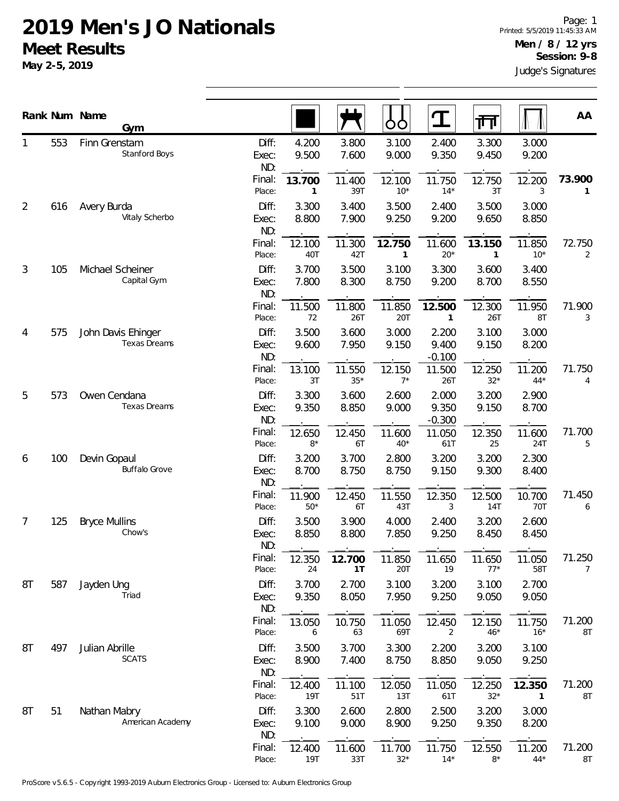|                |                                           | Rank Num Name<br>Gym                 |                       |                 |                 | OO                         | $\mathbf T$                | 帀                     |                 | AA                      |
|----------------|-------------------------------------------|--------------------------------------|-----------------------|-----------------|-----------------|----------------------------|----------------------------|-----------------------|-----------------|-------------------------|
| 1              | 553                                       | Finn Grenstam<br>Stanford Boys       | Diff:<br>Exec:<br>ND: | 4.200<br>9.500  | 3.800<br>7.600  | 3.100<br>9.000             | 2.400<br>9.350             | 3.300<br>9.450        | 3.000<br>9.200  |                         |
|                |                                           |                                      | Final:<br>Place:      | 13.700<br>1     | 11.400<br>39T   | 12.100<br>$10*$            | 11.750<br>$14*$            | 12.750<br>3T          | 12.200<br>3     | 73.900<br>$\mathbf{1}$  |
| $\overline{2}$ | 616                                       | Avery Burda<br>Vitaly Scherbo        | Diff:<br>Exec:<br>ND: | 3.300<br>8.800  | 3.400<br>7.900  | 3.500<br>9.250             | 2.400<br>9.200             | 3.500<br>9.650        | 3.000<br>8.850  |                         |
|                |                                           |                                      | Final:<br>Place:      | 12.100<br>40T   | 11.300<br>42T   | 12.750<br>1                | 11.600<br>$20*$            | 13.150<br>1           | 11.850<br>$10*$ | 72.750<br>2             |
| 3              | 105                                       | Michael Scheiner<br>Capital Gym      | Diff:<br>Exec:<br>ND: | 3.700<br>7.800  | 3.500<br>8.300  | 3.100<br>8.750             | 3.300<br>9.200             | 3.600<br>8.700        | 3.400<br>8.550  |                         |
|                |                                           |                                      | Final:<br>Place:      | 11.500<br>72    | 11.800<br>26T   | 11.850<br>20T              | 12.500<br>$\mathbf{1}$     | 12.300<br>26T         | 11.950<br>8T    | 71.900<br>3             |
| 575<br>4       | John Davis Ehinger<br><b>Texas Dreams</b> | Diff:<br>Exec:<br>ND:                | 3.500<br>9.600        | 3.600<br>7.950  | 3.000<br>9.150  | 2.200<br>9.400<br>$-0.100$ | 3.100<br>9.150             | 3.000<br>8.200        |                 |                         |
|                |                                           |                                      | Final:<br>Place:      | 13.100<br>3T    | 11.550<br>$35*$ | 12.150<br>$7*$             | 11.500<br>26T              | 12.250<br>$32*$       | 11.200<br>$44*$ | 71.750<br>4             |
| 5              | 573                                       | Owen Cendana<br><b>Texas Dreams</b>  | Diff:<br>Exec:<br>ND: | 3.300<br>9.350  | 3.600<br>8.850  | 2.600<br>9.000             | 2.000<br>9.350<br>$-0.300$ | 3.200<br>9.150        | 2.900<br>8.700  |                         |
|                |                                           |                                      | Final:<br>Place:      | 12.650<br>$8*$  | 12.450<br>6T    | 11.600<br>$40*$            | 11.050<br>61T              | 12.350<br>25          | 11.600<br>24T   | 71.700<br>5             |
| 6              | 100                                       | Devin Gopaul<br><b>Buffalo Grove</b> | Diff:<br>Exec:<br>ND: | 3.200<br>8.700  | 3.700<br>8.750  | 2.800<br>8.750             | 3.200<br>9.150             | 3.200<br>9.300        | 2.300<br>8.400  |                         |
|                |                                           |                                      | Final:<br>Place:      | 11.900<br>$50*$ | 12.450<br>6T    | 11.550<br>43T              | 12.350<br>3                | 12.500<br>14T         | 10.700<br>70T   | 71.450<br>6             |
| $\overline{7}$ | 125                                       | <b>Bryce Mullins</b><br>Chow's       | Diff:<br>Exec:<br>ND: | 3.500<br>8.850  | 3.900<br>8.800  | 4.000<br>7.850             | 2.400<br>9.250             | 3.200<br>8.450        | 2.600<br>8.450  |                         |
|                |                                           |                                      | Final:<br>Place:      | 12.350<br>24    | 12.700<br>1T    | 11.850<br>20T              | 11.650<br>19               | 11.650<br>$77*$       | 11.050<br>58T   | 71.250<br>7             |
| 8T             | 587                                       | Jayden Ung<br>Triad                  | Diff:<br>Exec:<br>ND: | 3.700<br>9.350  | 2.700<br>8.050  | 3.100<br>7.950             | 3.200<br>9.250             | 3.100<br>9.050        | 2.700<br>9.050  |                         |
|                |                                           |                                      | Final:<br>Place:      | 13.050<br>6     | 10.750<br>63    | 11.050<br>69T              | 12.450<br>2                | 12.150<br>$46*$       | 11.750<br>$16*$ | 71.200<br>8T            |
| 8T             | 497                                       | Julian Abrille<br><b>SCATS</b>       | Diff:<br>Exec:<br>ND: | 3.500<br>8.900  | 3.700<br>7.400  | 3.300<br>8.750             | 2.200<br>8.850             | 3.200<br>9.050        | 3.100<br>9.250  |                         |
|                |                                           |                                      | Final:<br>Place:      | 12.400<br>19T   | 11.100<br>51T   | 12.050<br>13T              | 11.050<br>61T              | 12.250<br>$32*$       | 12.350<br>1     | 71.200<br>$8\mathsf{T}$ |
| 8T             | 51                                        | Nathan Mabry<br>American Academy     | Diff:<br>Exec:<br>ND: | 3.300<br>9.100  | 2.600<br>9.000  | 2.800<br>8.900             | 2.500<br>9.250             | 3.200<br>9.350        | 3.000<br>8.200  |                         |
|                |                                           |                                      | Final:<br>Place:      | 12.400<br>19T   | 11.600<br>33T   | 11.700<br>$32*$            | 11.750<br>$14*$            | 12.550<br>$8^{\star}$ | 11.200<br>$44*$ | 71.200<br>8T            |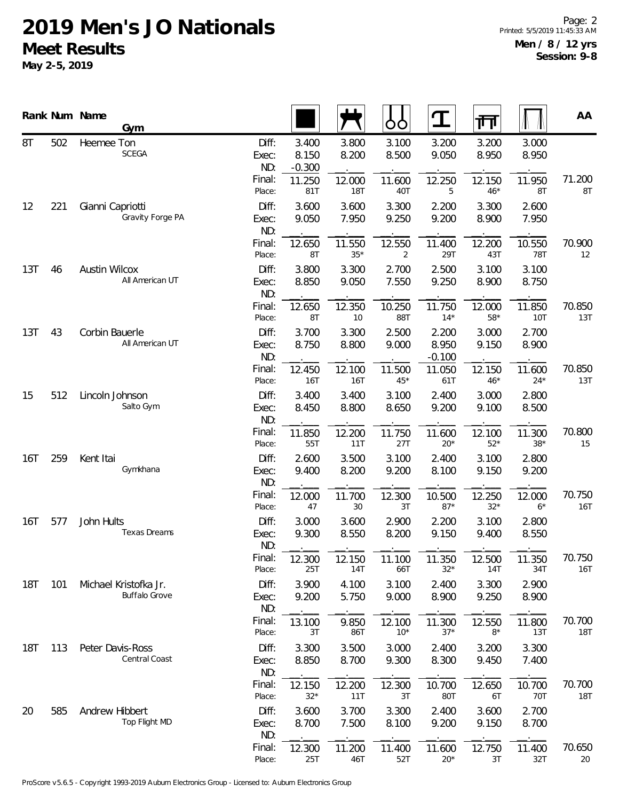|            |                 | Rank Num Name        | Gym                                           |                                 |                            |                        | ŌŌ              | ${\bf T}$                  | गा              |                      | AA            |
|------------|-----------------|----------------------|-----------------------------------------------|---------------------------------|----------------------------|------------------------|-----------------|----------------------------|-----------------|----------------------|---------------|
| 8T         | 502             | Heemee Ton           | <b>SCEGA</b>                                  | Diff:<br>Exec:<br>ND:<br>Final: | 3.400<br>8.150<br>$-0.300$ | 3.800<br>8.200         | 3.100<br>8.500  | 3.200<br>9.050             | 3.200<br>8.950  | 3.000<br>8.950       | 71.200        |
|            |                 |                      |                                               | Place:                          | 11.250<br>81T              | 12.000<br>18T          | 11.600<br>40T   | 12.250<br>5                | 12.150<br>$46*$ | 11.950<br>8T         | 8T            |
| 12         | 221             | Gianni Capriotti     | Gravity Forge PA                              | Diff:<br>Exec:<br>ND:           | 3.600<br>9.050             | 3.600<br>7.950         | 3.300<br>9.250  | 2.200<br>9.200             | 3.300<br>8.900  | 2.600<br>7.950       |               |
|            |                 |                      |                                               | Final:<br>Place:                | 12.650<br>8T               | 11.550<br>$35^{\star}$ | 12.550<br>2     | 11.400<br>29T              | 12.200<br>43T   | 10.550<br><b>78T</b> | 70.900<br>12  |
| 13T        | 46              | <b>Austin Wilcox</b> | All American UT                               | Diff:<br>Exec:<br>ND:           | 3.800<br>8.850             | 3.300<br>9.050         | 2.700<br>7.550  | 2.500<br>9.250             | 3.100<br>8.900  | 3.100<br>8.750       |               |
|            |                 |                      |                                               | Final:<br>Place:                | 12.650<br>8T               | 12.350<br>10           | 10.250<br>88T   | 11.750<br>$14*$            | 12.000<br>$58*$ | 11.850<br>10T        | 70.850<br>13T |
| 13T<br>43  |                 | Corbin Bauerle       | All American UT                               | Diff:<br>Exec:<br>ND:           | 3.700<br>8.750             | 3.300<br>8.800         | 2.500<br>9.000  | 2.200<br>8.950<br>$-0.100$ | 3.000<br>9.150  | 2.700<br>8.900       |               |
|            |                 |                      | Final:<br>Place:                              | 12.450<br>16T                   | 12.100<br>16T              | 11.500<br>$45*$        | 11.050<br>61T   | 12.150<br>$46*$            | 11.600<br>$24*$ | 70.850<br>13T        |               |
| 15<br>512  | Lincoln Johnson | Salto Gym            | Diff:<br>Exec:<br>ND:                         | 3.400<br>8.450                  | 3.400<br>8.800             | 3.100<br>8.650         | 2.400<br>9.200  | 3.000<br>9.100             | 2.800<br>8.500  |                      |               |
|            |                 |                      |                                               | Final:<br>Place:                | 11.850<br>55T              | 12.200<br>11T          | 11.750<br>27T   | 11.600<br>$20*$            | 12.100<br>$52*$ | 11.300<br>$38*$      | 70.800<br>15  |
| 16T        | 259             | Kent Itai            | Gymkhana                                      | Diff:<br>Exec:<br>ND:           | 2.600<br>9.400             | 3.500<br>8.200         | 3.100<br>9.200  | 2.400<br>8.100             | 3.100<br>9.150  | 2.800<br>9.200       |               |
|            |                 |                      |                                               | Final:<br>Place:                | 12.000<br>47               | 11.700<br>30           | 12.300<br>3T    | 10.500<br>$87*$            | 12.250<br>$32*$ | 12.000<br>$6*$       | 70.750<br>16T |
| 16T        | 577             | John Hults           | <b>Texas Dreams</b>                           | Diff:<br>Exec:<br>ND:           | 3.000<br>9.300             | 3.600<br>8.550         | 2.900<br>8.200  | 2.200<br>9.150             | 3.100<br>9.400  | 2.800<br>8.550       |               |
|            |                 |                      |                                               | Final:<br>Place:                | 12.300<br>25T              | 12.150<br>14T          | 11.100<br>66T   | 11.350<br>$32*$            | 12.500<br>14T   | 11.350<br>34T        | 70.750<br>16T |
| 18T        | 101             |                      | Michael Kristofka Jr.<br><b>Buffalo Grove</b> | Diff:<br>Exec:<br>ND:           | 3.900<br>9.200             | 4.100<br>5.750         | 3.100<br>9.000  | 2.400<br>8.900             | 3.300<br>9.250  | 2.900<br>8.900       |               |
|            |                 |                      |                                               | Final:<br>Place:                | 13.100<br>3T               | 9.850<br>86T           | 12.100<br>$10*$ | 11.300<br>$37*$            | 12.550<br>$8*$  | 11.800<br>13T        | 70.700<br>18T |
| <b>18T</b> | 113             | Peter Davis-Ross     | Central Coast                                 | Diff:<br>Exec:<br>ND:           | 3.300<br>8.850             | 3.500<br>8.700         | 3.000<br>9.300  | 2.400<br>8.300             | 3.200<br>9.450  | 3.300<br>7.400       |               |
|            |                 |                      |                                               | Final:<br>Place:                | 12.150<br>$32*$            | 12.200<br>11T          | 12.300<br>3T    | 10.700<br>80T              | 12.650<br>6T    | 10.700<br>70T        | 70.700<br>18T |
| 20         | 585             | Andrew Hibbert       | Top Flight MD                                 | Diff:<br>Exec:<br>ND:           | 3.600<br>8.700             | 3.700<br>7.500         | 3.300<br>8.100  | 2.400<br>9.200             | 3.600<br>9.150  | 2.700<br>8.700       |               |
|            |                 |                      |                                               | Final:<br>Place:                | 12.300<br>25T              | 11.200<br>46T          | 11.400<br>52T   | 11.600<br>$20*$            | 12.750<br>3T    | 11.400<br>32T        | 70.650<br>20  |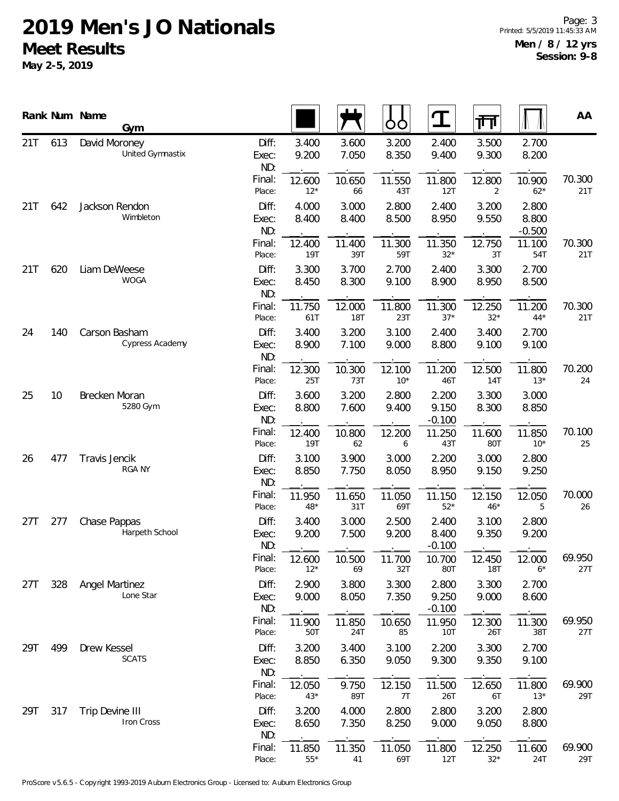|          |     | Rank Num Name<br>Gym               |                       |                 |                      | OO             | $\bf{T}$                   | गंग                  |                            | AA            |
|----------|-----|------------------------------------|-----------------------|-----------------|----------------------|----------------|----------------------------|----------------------|----------------------------|---------------|
| 21T      | 613 | David Moroney<br>United Gymnastix  | Diff:<br>Exec:<br>ND: | 3.400<br>9.200  | 3.600<br>7.050       | 3.200<br>8.350 | 2.400<br>9.400             | 3.500<br>9.300       | 2.700<br>8.200             |               |
|          |     |                                    | Final:<br>Place:      | 12.600<br>$12*$ | 10.650<br>66         | 11.550<br>43T  | 11.800<br>12T              | 12.800<br>2          | 10.900<br>$62*$            | 70.300<br>21T |
| 21T      | 642 | Jackson Rendon<br>Wimbleton        | Diff:<br>Exec:<br>ND: | 4.000<br>8.400  | 3.000<br>8.400       | 2.800<br>8.500 | 2.400<br>8.950             | 3.200<br>9.550       | 2.800<br>8.800<br>$-0.500$ |               |
|          |     |                                    | Final:<br>Place:      | 12.400<br>19T   | 11.400<br>39T        | 11.300<br>59T  | 11.350<br>$32*$            | 12.750<br>3T         | 11.100<br>54T              | 70.300<br>21T |
| 21T      | 620 | Liam DeWeese<br><b>WOGA</b>        | Diff:<br>Exec:<br>ND: | 3.300<br>8.450  | 3.700<br>8.300       | 2.700<br>9.100 | 2.400<br>8.900             | 3.300<br>8.950       | 2.700<br>8.500             |               |
|          |     |                                    | Final:<br>Place:      | 11.750<br>61T   | 12.000<br><b>18T</b> | 11.800<br>23T  | 11.300<br>$37*$            | 12.250<br>$32*$      | 11.200<br>$44*$            | 70.300<br>21T |
| 24       | 140 | Carson Basham<br>Cypress Academy   | Diff:<br>Exec:<br>ND: | 3.400<br>8.900  | 3.200<br>7.100       | 3.100<br>9.000 | 2.400<br>8.800             | 3.400<br>9.100       | 2.700<br>9.100             |               |
|          |     | Final:<br>Place:                   | 12.300<br>25T         | 10.300<br>73T   | 12.100<br>$10*$      | 11.200<br>46T  | 12.500<br>14T              | 11.800<br>$13*$      | 70.200<br>24               |               |
| 25<br>10 |     | Brecken Moran<br>5280 Gym          | Diff:<br>Exec:<br>ND: | 3.600<br>8.800  | 3.200<br>7.600       | 2.800<br>9.400 | 2.200<br>9.150<br>$-0.100$ | 3.300<br>8.300       | 3.000<br>8.850             |               |
|          |     |                                    | Final:<br>Place:      | 12.400<br>19T   | 10.800<br>62         | 12.200<br>6    | 11.250<br>43T              | 11.600<br>80T        | 11.850<br>$10*$            | 70.100<br>25  |
| 26       | 477 | Travis Jencik<br><b>RGA NY</b>     | Diff:<br>Exec:<br>ND: | 3.100<br>8.850  | 3.900<br>7.750       | 3.000<br>8.050 | 2.200<br>8.950             | 3.000<br>9.150       | 2.800<br>9.250             |               |
|          |     |                                    | Final:<br>Place:      | 11.950<br>48*   | 11.650<br>31T        | 11.050<br>69T  | 11.150<br>$52*$            | 12.150<br>$46*$      | 12.050<br>5                | 70.000<br>26  |
| 27T      | 277 | Chase Pappas<br>Harpeth School     | Diff:<br>Exec:<br>ND: | 3.400<br>9.200  | 3.000<br>7.500       | 2.500<br>9.200 | 2.400<br>8.400<br>$-0.100$ | 3.100<br>9.350       | 2.800<br>9.200             |               |
|          |     |                                    | Final:<br>Place:      | 12.600<br>$12*$ | 10.500<br>69         | 11.700<br>32T  | 10.700<br>80T              | 12.450<br><b>18T</b> | 12.000<br>$6*$             | 69.950<br>27T |
| 27T      | 328 | <b>Angel Martinez</b><br>Lone Star | Diff:<br>Exec:<br>ND: | 2.900<br>9.000  | 3.800<br>8.050       | 3.300<br>7.350 | 2.800<br>9.250<br>$-0.100$ | 3.300<br>9.000       | 2.700<br>8.600             |               |
|          |     |                                    | Final:<br>Place:      | 11.900<br>50T   | 11.850<br>24T        | 10.650<br>85   | 11.950<br>10T              | 12.300<br>26T        | 11.300<br>38T              | 69.950<br>27T |
| 29T      | 499 | Drew Kessel<br><b>SCATS</b>        | Diff:<br>Exec:<br>ND: | 3.200<br>8.850  | 3.400<br>6.350       | 3.100<br>9.050 | 2.200<br>9.300             | 3.300<br>9.350       | 2.700<br>9.100             |               |
|          |     |                                    | Final:<br>Place:      | 12.050<br>$43*$ | 9.750<br>89T         | 12.150<br>7T   | 11.500<br>26T              | 12.650<br>6T         | 11.800<br>$13*$            | 69.900<br>29T |
| 29T      | 317 | Trip Devine III<br>Iron Cross      | Diff:<br>Exec:<br>ND: | 3.200<br>8.650  | 4.000<br>7.350       | 2.800<br>8.250 | 2.800<br>9.000             | 3.200<br>9.050       | 2.800<br>8.800             |               |
|          |     |                                    | Final:<br>Place:      | 11.850<br>$55*$ | 11.350<br>41         | 11.050<br>69T  | 11.800<br>12T              | 12.250<br>$32*$      | 11.600<br>24T              | 69.900<br>29T |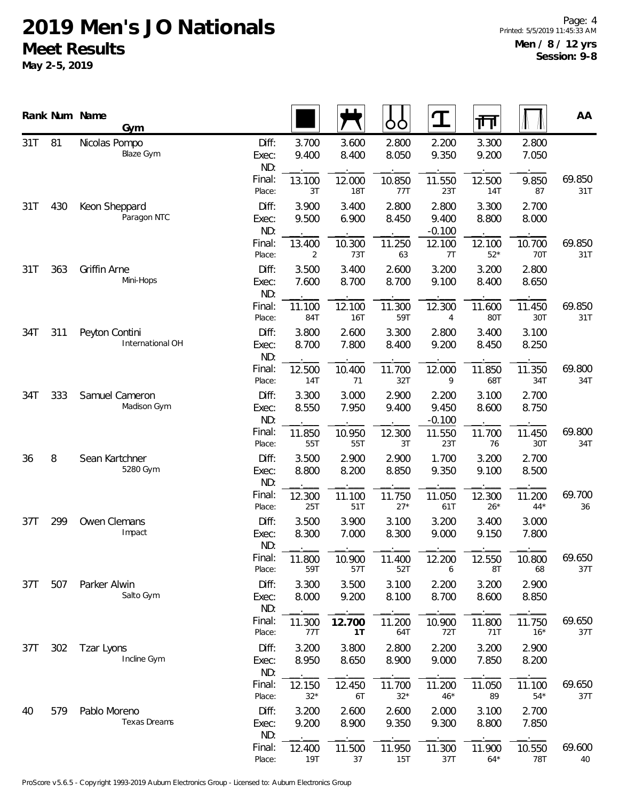|            |     | Rank Num Name<br>Gym                |                       |                 |                | ŌO              | T                          | गा                   |                      | AA            |
|------------|-----|-------------------------------------|-----------------------|-----------------|----------------|-----------------|----------------------------|----------------------|----------------------|---------------|
| 31T        | 81  | Nicolas Pompo<br>Blaze Gym          | Diff:<br>Exec:<br>ND: | 3.700<br>9.400  | 3.600<br>8.400 | 2.800<br>8.050  | 2.200<br>9.350             | 3.300<br>9.200       | 2.800<br>7.050       |               |
|            |     |                                     | Final:<br>Place:      | 13.100<br>3T    | 12.000<br>18T  | 10.850<br>77T   | 11.550<br>23T              | 12.500<br><b>14T</b> | 9.850<br>87          | 69.850<br>31T |
| 31T        | 430 | Keon Sheppard<br>Paragon NTC        | Diff:<br>Exec:<br>ND: | 3.900<br>9.500  | 3.400<br>6.900 | 2.800<br>8.450  | 2.800<br>9.400<br>$-0.100$ | 3.300<br>8.800       | 2.700<br>8.000       |               |
|            |     |                                     | Final:<br>Place:      | 13.400<br>2     | 10.300<br>73T  | 11.250<br>63    | 12.100<br>7T               | 12.100<br>$52*$      | 10.700<br>70T        | 69.850<br>31T |
| 31T        | 363 | Griffin Arne<br>Mini-Hops           | Diff:<br>Exec:<br>ND: | 3.500<br>7.600  | 3.400<br>8.700 | 2.600<br>8.700  | 3.200<br>9.100             | 3.200<br>8.400       | 2.800<br>8.650       |               |
|            |     |                                     | Final:<br>Place:      | 11.100<br>84T   | 12.100<br>16T  | 11.300<br>59T   | 12.300<br>4                | 11.600<br>80T        | 11.450<br>30T        | 69.850<br>31T |
| 34T<br>311 |     | Peyton Contini<br>International OH  | Diff:<br>Exec:<br>ND: | 3.800<br>8.700  | 2.600<br>7.800 | 3.300<br>8.400  | 2.800<br>9.200             | 3.400<br>8.450       | 3.100<br>8.250       |               |
|            |     | Final:<br>Place:                    | 12.500<br>14T         | 10.400<br>71    | 11.700<br>32T  | 12.000<br>9     | 11.850<br>68T              | 11.350<br>34T        | 69.800<br>34T        |               |
| 34T<br>333 |     | Samuel Cameron<br>Madison Gym       | Diff:<br>Exec:<br>ND: | 3.300<br>8.550  | 3.000<br>7.950 | 2.900<br>9.400  | 2.200<br>9.450<br>$-0.100$ | 3.100<br>8.600       | 2.700<br>8.750       |               |
|            |     |                                     | Final:<br>Place:      | 11.850<br>55T   | 10.950<br>55T  | 12.300<br>3T    | 11.550<br>23T              | 11.700<br>76         | 11.450<br>30T        | 69.800<br>34T |
| 36         | 8   | Sean Kartchner<br>5280 Gym          | Diff:<br>Exec:<br>ND: | 3.500<br>8.800  | 2.900<br>8.200 | 2.900<br>8.850  | 1.700<br>9.350             | 3.200<br>9.100       | 2.700<br>8.500       |               |
|            |     |                                     | Final:<br>Place:      | 12.300<br>25T   | 11.100<br>51T  | 11.750<br>$27*$ | 11.050<br>61T              | 12.300<br>$26*$      | 11.200<br>$44*$      | 69.700<br>36  |
| 37T        | 299 | Owen Clemans<br>Impact              | Diff:<br>Exec:<br>ND: | 3.500<br>8.300  | 3.900<br>7.000 | 3.100<br>8.300  | 3.200<br>9.000             | 3.400<br>9.150       | 3.000<br>7.800       |               |
|            |     |                                     | Final:<br>Place:      | 11.800<br>59T   | 10.900<br>57T  | 11.400<br>52T   | 12.200<br>6                | 12.550<br>8T         | 10.800<br>68         | 69.650<br>37T |
| 37T        | 507 | Parker Alwin<br>Salto Gym           | Diff:<br>Exec:<br>ND: | 3.300<br>8.000  | 3.500<br>9.200 | 3.100<br>8.100  | 2.200<br>8.700             | 3.200<br>8.600       | 2.900<br>8.850       |               |
|            |     |                                     | Final:<br>Place:      | 11.300<br>77T   | 12.700<br>1T   | 11.200<br>64T   | 10.900<br>72T              | 11.800<br>71T        | 11.750<br>$16*$      | 69.650<br>37T |
| 37T        | 302 | Tzar Lyons<br>Incline Gym           | Diff:<br>Exec:<br>ND: | 3.200<br>8.950  | 3.800<br>8.650 | 2.800<br>8.900  | 2.200<br>9.000             | 3.200<br>7.850       | 2.900<br>8.200       |               |
|            |     |                                     | Final:<br>Place:      | 12.150<br>$32*$ | 12.450<br>6T   | 11.700<br>$32*$ | 11.200<br>$46*$            | 11.050<br>89         | 11.100<br>$54*$      | 69.650<br>37T |
| 40         | 579 | Pablo Moreno<br><b>Texas Dreams</b> | Diff:<br>Exec:<br>ND: | 3.200<br>9.200  | 2.600<br>8.900 | 2.600<br>9.350  | 2.000<br>9.300             | 3.100<br>8.800       | 2.700<br>7.850       |               |
|            |     |                                     | Final:<br>Place:      | 12.400<br>19T   | 11.500<br>37   | 11.950<br>15T   | 11.300<br>37T              | 11.900<br>$64*$      | 10.550<br><b>78T</b> | 69.600<br>40  |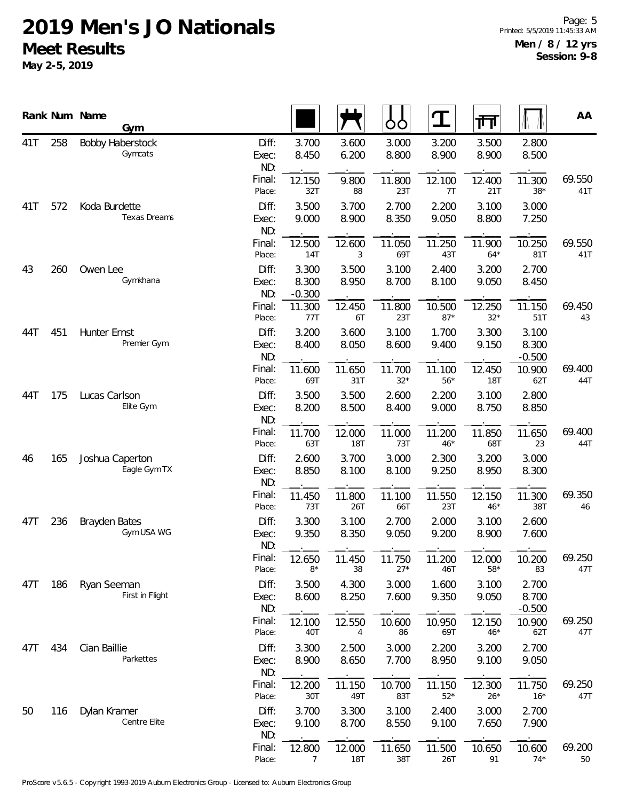|            |     | Rank Num Name<br>Gym                 |                       |                            |                      | OO              | ${\bf T}$       | 帀                      |                            | AA            |
|------------|-----|--------------------------------------|-----------------------|----------------------------|----------------------|-----------------|-----------------|------------------------|----------------------------|---------------|
| 41T        | 258 | <b>Bobby Haberstock</b><br>Gymcats   | Diff:<br>Exec:<br>ND: | 3.700<br>8.450             | 3.600<br>6.200       | 3.000<br>8.800  | 3.200<br>8.900  | 3.500<br>8.900         | 2.800<br>8.500             |               |
|            |     |                                      | Final:<br>Place:      | 12.150<br>32T              | 9.800<br>88          | 11.800<br>23T   | 12.100<br>7T    | 12.400<br>21T          | 11.300<br>$38*$            | 69.550<br>41T |
| 41T        | 572 | Koda Burdette<br><b>Texas Dreams</b> | Diff:<br>Exec:<br>ND: | 3.500<br>9.000             | 3.700<br>8.900       | 2.700<br>8.350  | 2.200<br>9.050  | 3.100<br>8.800         | 3.000<br>7.250             |               |
|            |     |                                      | Final:<br>Place:      | 12.500<br>14T              | 12.600<br>3          | 11.050<br>69T   | 11.250<br>43T   | 11.900<br>$64*$        | 10.250<br>81T              | 69.550<br>41T |
| 43         | 260 | Owen Lee<br>Gymkhana                 | Diff:<br>Exec:<br>ND: | 3.300<br>8.300<br>$-0.300$ | 3.500<br>8.950       | 3.100<br>8.700  | 2.400<br>8.100  | 3.200<br>9.050         | 2.700<br>8.450             |               |
|            |     |                                      | Final:<br>Place:      | 11.300<br>77T              | 12.450<br>6T         | 11.800<br>23T   | 10.500<br>$87*$ | 12.250<br>$32^{\star}$ | 11.150<br>51T              | 69.450<br>43  |
| 44T        | 451 | Hunter Ernst<br>Premier Gym          | Diff:<br>Exec:<br>ND: | 3.200<br>8.400             | 3.600<br>8.050       | 3.100<br>8.600  | 1.700<br>9.400  | 3.300<br>9.150         | 3.100<br>8.300<br>$-0.500$ |               |
|            |     |                                      | Final:<br>Place:      | 11.600<br>69T              | 11.650<br>31T        | 11.700<br>$32*$ | 11.100<br>$56*$ | 12.450<br><b>18T</b>   | 10.900<br>62T              | 69.400<br>44T |
| 175<br>44T |     | Lucas Carlson<br>Elite Gym           | Diff:<br>Exec:<br>ND: | 3.500<br>8.200             | 3.500<br>8.500       | 2.600<br>8.400  | 2.200<br>9.000  | 3.100<br>8.750         | 2.800<br>8.850             |               |
|            |     |                                      | Final:<br>Place:      | 11.700<br>63T              | 12.000<br><b>18T</b> | 11.000<br>73T   | 11.200<br>$46*$ | 11.850<br>68T          | 11.650<br>23               | 69.400<br>44T |
| 46         | 165 | Joshua Caperton<br>Eagle Gym TX      | Diff:<br>Exec:<br>ND: | 2.600<br>8.850             | 3.700<br>8.100       | 3.000<br>8.100  | 2.300<br>9.250  | 3.200<br>8.950         | 3.000<br>8.300             |               |
|            |     |                                      | Final:<br>Place:      | 11.450<br>73T              | 11.800<br>26T        | 11.100<br>66T   | 11.550<br>23T   | 12.150<br>$46*$        | 11.300<br>38T              | 69.350<br>46  |
| 47T        | 236 | <b>Brayden Bates</b><br>Gym USA WG   | Diff:<br>Exec:<br>ND: | 3.300<br>9.350             | 3.100<br>8.350       | 2.700<br>9.050  | 2.000<br>9.200  | 3.100<br>8.900         | 2.600<br>7.600             |               |
|            |     |                                      | Final:<br>Place:      | 12.650<br>$8*$             | 11.450<br>38         | 11.750<br>$27*$ | 11.200<br>46T   | 12.000<br>$58*$        | 10.200<br>83               | 69.250<br>47T |
| 47T        | 186 | Ryan Seeman<br>First in Flight       | Diff:<br>Exec:<br>ND: | 3.500<br>8.600             | 4.300<br>8.250       | 3.000<br>7.600  | 1.600<br>9.350  | 3.100<br>9.050         | 2.700<br>8.700<br>$-0.500$ |               |
|            |     |                                      | Final:<br>Place:      | 12.100<br>40T              | 12.550<br>4          | 10.600<br>86    | 10.950<br>69T   | 12.150<br>$46*$        | 10.900<br>62T              | 69.250<br>47T |
| 47T        | 434 | Cian Baillie<br>Parkettes            | Diff:<br>Exec:<br>ND: | 3.300<br>8.900             | 2.500<br>8.650       | 3.000<br>7.700  | 2.200<br>8.950  | 3.200<br>9.100         | 2.700<br>9.050             |               |
|            |     |                                      | Final:<br>Place:      | 12.200<br>30T              | 11.150<br>49T        | 10.700<br>83T   | 11.150<br>$52*$ | 12.300<br>$26*$        | 11.750<br>$16*$            | 69.250<br>47T |
| 50         | 116 | Dylan Kramer<br>Centre Elite         | Diff:<br>Exec:<br>ND: | 3.700<br>9.100             | 3.300<br>8.700       | 3.100<br>8.550  | 2.400<br>9.100  | 3.000<br>7.650         | 2.700<br>7.900             |               |
|            |     |                                      | Final:<br>Place:      | 12.800<br>7                | 12.000<br><b>18T</b> | 11.650<br>38T   | 11.500<br>26T   | 10.650<br>91           | 10.600<br>$74*$            | 69.200<br>50  |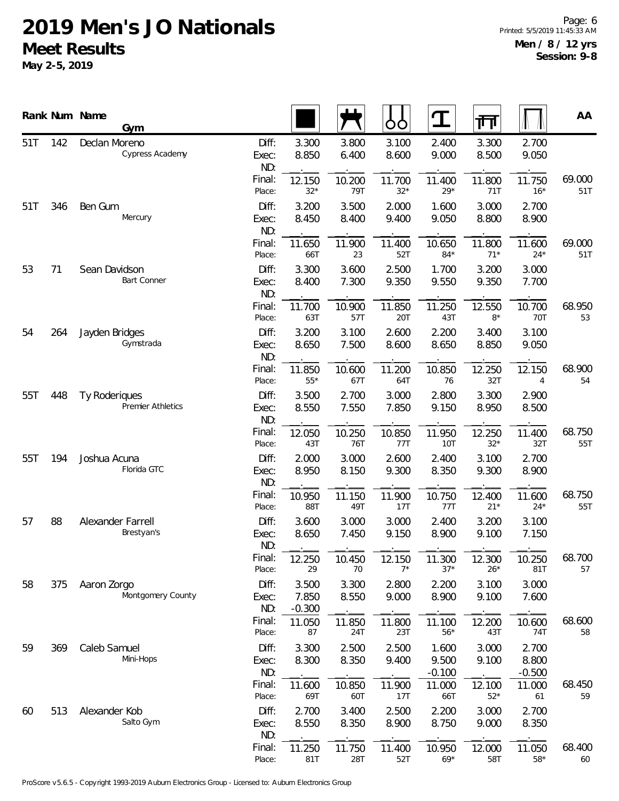|            |     | Rank Num Name  | Gym                             |                       |                            |                | ŌÒ              | ${\bf T}$                  | गा              |                            | AA            |
|------------|-----|----------------|---------------------------------|-----------------------|----------------------------|----------------|-----------------|----------------------------|-----------------|----------------------------|---------------|
| 51T        | 142 | Declan Moreno  | Cypress Academy                 | Diff:<br>Exec:<br>ND: | 3.300<br>8.850             | 3.800<br>6.400 | 3.100<br>8.600  | 2.400<br>9.000             | 3.300<br>8.500  | 2.700<br>9.050             |               |
|            |     |                |                                 | Final:<br>Place:      | 12.150<br>$32*$            | 10.200<br>79T  | 11.700<br>$32*$ | 11.400<br>$29*$            | 11.800<br>71T   | 11.750<br>$16*$            | 69.000<br>51T |
| 51T        | 346 | Ben Gum        | Mercury                         | Diff:<br>Exec:<br>ND: | 3.200<br>8.450             | 3.500<br>8.400 | 2.000<br>9.400  | 1.600<br>9.050             | 3.000<br>8.800  | 2.700<br>8.900             |               |
|            |     |                |                                 | Final:<br>Place:      | 11.650<br>66T              | 11.900<br>23   | 11.400<br>52T   | 10.650<br>$84*$            | 11.800<br>$71*$ | 11.600<br>$24*$            | 69.000<br>51T |
| 53         | 71  | Sean Davidson  | Bart Conner                     | Diff:<br>Exec:<br>ND: | 3.300<br>8.400             | 3.600<br>7.300 | 2.500<br>9.350  | 1.700<br>9.550             | 3.200<br>9.350  | 3.000<br>7.700             |               |
|            |     |                |                                 | Final:<br>Place:      | 11.700<br>63T              | 10.900<br>57T  | 11.850<br>20T   | 11.250<br>43T              | 12.550<br>$8*$  | 10.700<br><b>70T</b>       | 68.950<br>53  |
| 54         | 264 | Jayden Bridges | Gymstrada                       | Diff:<br>Exec:<br>ND: | 3.200<br>8.650             | 3.100<br>7.500 | 2.600<br>8.600  | 2.200<br>8.650             | 3.400<br>8.850  | 3.100<br>9.050             |               |
|            |     |                |                                 | Final:<br>Place:      | 11.850<br>$55*$            | 10.600<br>67T  | 11.200<br>64T   | 10.850<br>76               | 12.250<br>32T   | 12.150<br>4                | 68.900<br>54  |
| 55T<br>448 |     | Ty Roderiques  | Premier Athletics               | Diff:<br>Exec:<br>ND: | 3.500<br>8.550             | 2.700<br>7.550 | 3.000<br>7.850  | 2.800<br>9.150             | 3.300<br>8.950  | 2.900<br>8.500             |               |
|            |     |                | Final:<br>Place:                | 12.050<br>43T         | 10.250<br>76T              | 10.850<br>77T  | 11.950<br>10T   | 12.250<br>$32*$            | 11.400<br>32T   | 68.750<br>55T              |               |
| 55T<br>194 |     | Joshua Acuna   | Florida GTC                     | Diff:<br>Exec:<br>ND: | 2.000<br>8.950             | 3.000<br>8.150 | 2.600<br>9.300  | 2.400<br>8.350             | 3.100<br>9.300  | 2.700<br>8.900             |               |
|            |     |                |                                 | Final:<br>Place:      | 10.950<br>88T              | 11.150<br>49T  | 11.900<br>17T   | 10.750<br>77T              | 12.400<br>$21*$ | 11.600<br>$24*$            | 68.750<br>55T |
| 57         | 88  |                | Alexander Farrell<br>Brestyan's | Diff:<br>Exec:<br>ND: | 3.600<br>8.650             | 3.000<br>7.450 | 3.000<br>9.150  | 2.400<br>8.900             | 3.200<br>9.100  | 3.100<br>7.150             |               |
|            |     |                |                                 | Final:<br>Place:      | 12.250<br>29               | 10.450<br>70   | 12.150<br>$7^*$ | 11.300<br>$37*$            | 12.300<br>$26*$ | 10.250<br>81T              | 68.700<br>57  |
| 58         | 375 | Aaron Zorgo    | Montgomery County               | Diff:<br>Exec:<br>ND: | 3.500<br>7.850<br>$-0.300$ | 3.300<br>8.550 | 2.800<br>9.000  | 2.200<br>8.900             | 3.100<br>9.100  | 3.000<br>7.600             |               |
|            |     |                |                                 | Final:<br>Place:      | 11.050<br>87               | 11.850<br>24T  | 11.800<br>23T   | 11.100<br>$56*$            | 12.200<br>43T   | 10.600<br>74T              | 68.600<br>58  |
| 59         | 369 | Caleb Samuel   | Mini-Hops                       | Diff:<br>Exec:<br>ND: | 3.300<br>8.300             | 2.500<br>8.350 | 2.500<br>9.400  | 1.600<br>9.500<br>$-0.100$ | 3.000<br>9.100  | 2.700<br>8.800<br>$-0.500$ |               |
|            |     |                |                                 | Final:<br>Place:      | 11.600<br>69T              | 10.850<br>60T  | 11.900<br>17T   | 11.000<br>66T              | 12.100<br>$52*$ | 11.000<br>61               | 68.450<br>59  |
| 60         | 513 | Alexander Kob  | Salto Gym                       | Diff:<br>Exec:<br>ND: | 2.700<br>8.550             | 3.400<br>8.350 | 2.500<br>8.900  | 2.200<br>8.750             | 3.000<br>9.000  | 2.700<br>8.350             |               |
|            |     |                |                                 | Final:<br>Place:      | 11.250<br>81T              | 11.750<br>28T  | 11.400<br>52T   | 10.950<br>$69*$            | 12.000<br>58T   | 11.050<br>$58*$            | 68.400<br>60  |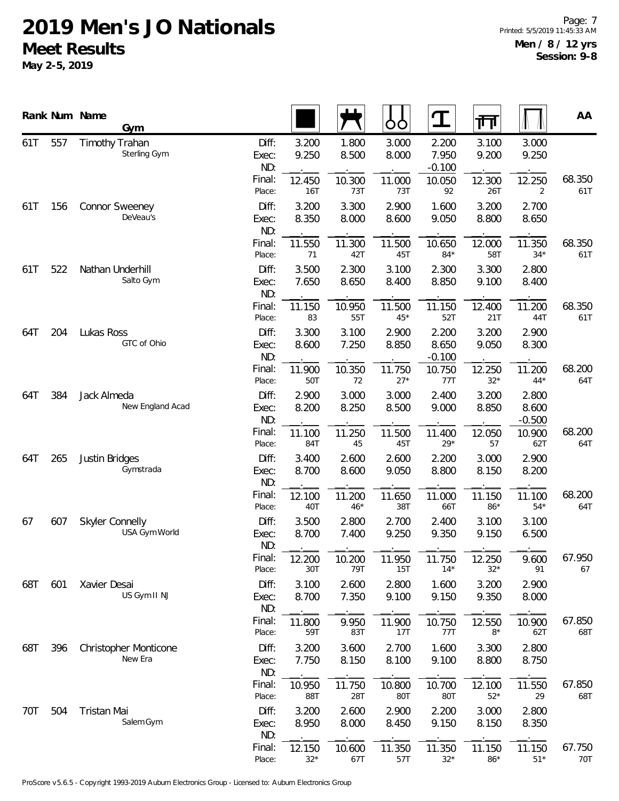|            |                                 | Rank Num Name<br>Gym                    |                       |                 |                 | ŌÒ              | Ţ                          | 帀                          |                 | AA            |
|------------|---------------------------------|-----------------------------------------|-----------------------|-----------------|-----------------|-----------------|----------------------------|----------------------------|-----------------|---------------|
| 61T        | 557                             | Timothy Trahan<br>Sterling Gym          | Diff:<br>Exec:<br>ND: | 3.200<br>9.250  | 1.800<br>8.500  | 3.000<br>8.000  | 2.200<br>7.950<br>$-0.100$ | 3.100<br>9.200             | 3.000<br>9.250  |               |
|            |                                 |                                         | Final:<br>Place:      | 12.450<br>16T   | 10.300<br>73T   | 11.000<br>73T   | 10.050<br>92               | 12.300<br>26T              | 12.250<br>2     | 68.350<br>61T |
| 61T        | 156                             | Connor Sweeney<br>DeVeau's              | Diff:<br>Exec:<br>ND: | 3.200<br>8.350  | 3.300<br>8.000  | 2.900<br>8.600  | 1.600<br>9.050             | 3.200<br>8.800             | 2.700<br>8.650  |               |
|            |                                 |                                         | Final:<br>Place:      | 11.550<br>71    | 11.300<br>42T   | 11.500<br>45T   | 10.650<br>$84*$            | 12.000<br>58T              | 11.350<br>$34*$ | 68.350<br>61T |
| 61T        | 522                             | Nathan Underhill<br>Salto Gym           | Diff:<br>Exec:<br>ND: | 3.500<br>7.650  | 2.300<br>8.650  | 3.100<br>8.400  | 2.300<br>8.850             | 3.300<br>9.100             | 2.800<br>8.400  |               |
|            |                                 |                                         | Final:<br>Place:      | 11.150<br>83    | 10.950<br>55T   | 11.500<br>$45*$ | 11.150<br>52T              | 12.400<br>21T              | 11.200<br>44T   | 68.350<br>61T |
| 64T        | 204                             | Lukas Ross<br>GTC of Ohio               | Diff:<br>Exec:<br>ND: | 3.300<br>8.600  | 3.100<br>7.250  | 2.900<br>8.850  | 2.200<br>8.650<br>$-0.100$ | 3.200<br>9.050             | 2.900<br>8.300  |               |
|            |                                 |                                         | Final:<br>Place:      | 11.900<br>50T   | 10.350<br>72    | 11.750<br>$27*$ | 10.750<br>77T              | 12.250<br>$32*$            | 11.200<br>$44*$ | 68.200<br>64T |
| 384<br>64T | Jack Almeda<br>New England Acad | Diff:<br>Exec:<br>ND:                   | 2.900<br>8.200        | 3.000<br>8.250  | 3.000<br>8.500  | 2.400<br>9.000  | 3.200<br>8.850             | 2.800<br>8.600<br>$-0.500$ |                 |               |
|            |                                 |                                         | Final:<br>Place:      | 11.100<br>84T   | 11.250<br>45    | 11.500<br>45T   | 11.400<br>$29*$            | 12.050<br>57               | 10.900<br>62T   | 68.200<br>64T |
| 64T        | 265                             | Justin Bridges<br>Gymstrada             | Diff:<br>Exec:<br>ND: | 3.400<br>8.700  | 2.600<br>8.600  | 2.600<br>9.050  | 2.200<br>8.800             | 3.000<br>8.150             | 2.900<br>8.200  |               |
|            |                                 |                                         | Final:<br>Place:      | 12.100<br>40T   | 11.200<br>$46*$ | 11.650<br>38T   | 11.000<br>66T              | 11.150<br>$86*$            | 11.100<br>$54*$ | 68.200<br>64T |
| 67         | 607                             | <b>Skyler Connelly</b><br>USA Gym World | Diff:<br>Exec:<br>ND: | 3.500<br>8.700  | 2.800<br>7.400  | 2.700<br>9.250  | 2.400<br>9.350             | 3.100<br>9.150             | 3.100<br>6.500  |               |
|            |                                 |                                         | Final:<br>Place:      | 12.200<br>30T   | 10.200<br>79T   | 11.950<br>15T   | 11.750<br>$14*$            | 12.250<br>$32*$            | 9.600<br>91     | 67.950<br>67  |
| 68T        | 601                             | Xavier Desai<br>US Gym II NJ            | Diff:<br>Exec:<br>ND: | 3.100<br>8.700  | 2.600<br>7.350  | 2.800<br>9.100  | 1.600<br>9.150             | 3.200<br>9.350             | 2.900<br>8.000  |               |
|            |                                 |                                         | Final:<br>Place:      | 11.800<br>59T   | 9.950<br>83T    | 11.900<br>17T   | 10.750<br>77T              | 12.550<br>$8*$             | 10.900<br>62T   | 67.850<br>68T |
| 68T        | 396                             | Christopher Monticone<br>New Era        | Diff:<br>Exec:<br>ND: | 3.200<br>7.750  | 3.600<br>8.150  | 2.700<br>8.100  | 1.600<br>9.100             | 3.300<br>8.800             | 2.800<br>8.750  |               |
|            |                                 |                                         | Final:<br>Place:      | 10.950<br>88T   | 11.750<br>28T   | 10.800<br>80T   | 10.700<br>80T              | 12.100<br>$52*$            | 11.550<br>29    | 67.850<br>68T |
| 70T        | 504                             | Tristan Mai<br>Salem Gym                | Diff:<br>Exec:<br>ND: | 3.200<br>8.950  | 2.600<br>8.000  | 2.900<br>8.450  | 2.200<br>9.150             | 3.000<br>8.150             | 2.800<br>8.350  |               |
|            |                                 |                                         | Final:<br>Place:      | 12.150<br>$32*$ | 10.600<br>67T   | 11.350<br>57T   | 11.350<br>$32*$            | 11.150<br>$86*$            | 11.150<br>$51*$ | 67.750<br>70T |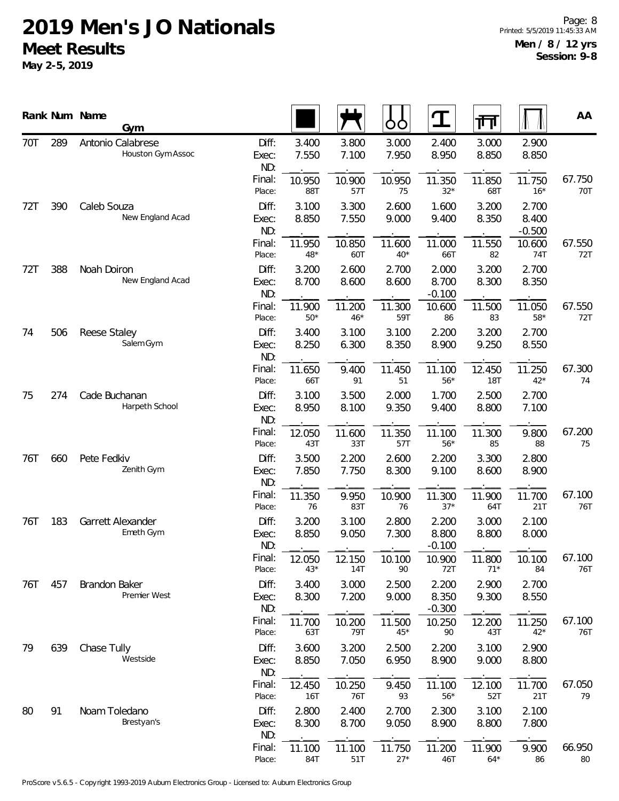|     |     | Rank Num Name<br>Gym                   |                       |                      |                 | ŌÒ              | $\mathbf T$                | 帀               |                            | AA            |
|-----|-----|----------------------------------------|-----------------------|----------------------|-----------------|-----------------|----------------------------|-----------------|----------------------------|---------------|
| 70T | 289 | Antonio Calabrese<br>Houston Gym Assoc | Diff:<br>Exec:<br>ND: | 3.400<br>7.550       | 3.800<br>7.100  | 3.000<br>7.950  | 2.400<br>8.950             | 3.000<br>8.850  | 2.900<br>8.850             |               |
|     |     |                                        | Final:<br>Place:      | 10.950<br>88T        | 10.900<br>57T   | 10.950<br>75    | 11.350<br>$32*$            | 11.850<br>68T   | 11.750<br>$16*$            | 67.750<br>70T |
| 72T | 390 | Caleb Souza<br>New England Acad        | Diff:<br>Exec:<br>ND: | 3.100<br>8.850       | 3.300<br>7.550  | 2.600<br>9.000  | 1.600<br>9.400             | 3.200<br>8.350  | 2.700<br>8.400<br>$-0.500$ |               |
|     |     |                                        | Final:<br>Place:      | 11.950<br>$48*$      | 10.850<br>60T   | 11.600<br>$40*$ | 11.000<br>66T              | 11.550<br>82    | 10.600<br>74T              | 67.550<br>72T |
| 72T | 388 | Noah Doiron<br>New England Acad        | Diff:<br>Exec:<br>ND: | 3.200<br>8.700       | 2.600<br>8.600  | 2.700<br>8.600  | 2.000<br>8.700<br>$-0.100$ | 3.200<br>8.300  | 2.700<br>8.350             |               |
|     |     |                                        | Final:<br>Place:      | 11.900<br>$50*$      | 11.200<br>$46*$ | 11.300<br>59T   | 10.600<br>86               | 11.500<br>83    | 11.050<br>$58*$            | 67.550<br>72T |
| 74  | 506 | Reese Staley<br>Salem Gym              | Diff:<br>Exec:<br>ND: | 3.400<br>8.250       | 3.100<br>6.300  | 3.100<br>8.350  | 2.200<br>8.900             | 3.200<br>9.250  | 2.700<br>8.550             |               |
|     |     |                                        | Final:<br>Place:      | 11.650<br>66T        | 9.400<br>91     | 11.450<br>51    | 11.100<br>$56*$            | 12.450<br>18T   | 11.250<br>$42*$            | 67.300<br>74  |
| 75  | 274 | Cade Buchanan<br>Harpeth School        | Diff:<br>Exec:<br>ND: | 3.100<br>8.950       | 3.500<br>8.100  | 2.000<br>9.350  | 1.700<br>9.400             | 2.500<br>8.800  | 2.700<br>7.100             |               |
|     |     |                                        | Final:<br>Place:      | 12.050<br>43T        | 11.600<br>33T   | 11.350<br>57T   | 11.100<br>$56*$            | 11.300<br>85    | 9.800<br>88                | 67.200<br>75  |
| 76T | 660 | Pete Fedkiv<br>Zenith Gym              | Diff:<br>Exec:<br>ND: | 3.500<br>7.850       | 2.200<br>7.750  | 2.600<br>8.300  | 2.200<br>9.100             | 3.300<br>8.600  | 2.800<br>8.900             |               |
|     |     |                                        | Final:<br>Place:      | 11.350<br>76         | 9.950<br>83T    | 10.900<br>76    | 11.300<br>$37*$            | 11.900<br>64T   | 11.700<br>21T              | 67.100<br>76T |
| 76T | 183 | Garrett Alexander<br>Emeth Gym         | Diff:<br>Exec:<br>ND: | 3.200<br>8.850       | 3.100<br>9.050  | 2.800<br>7.300  | 2.200<br>8.800<br>$-0.100$ | 3.000<br>8.800  | 2.100<br>8.000             |               |
|     |     |                                        | Final:<br>Place:      | 12.050<br>$43*$      | 12.150<br>14T   | 10.100<br>90    | 10.900<br>72T              | 11.800<br>$71*$ | 10.100<br>84               | 67.100<br>76T |
| 76T | 457 | <b>Brandon Baker</b><br>Premier West   | Diff:<br>Exec:<br>ND: | 3.400<br>8.300       | 3.000<br>7.200  | 2.500<br>9.000  | 2.200<br>8.350<br>$-0.300$ | 2.900<br>9.300  | 2.700<br>8.550             |               |
|     |     |                                        | Final:<br>Place:      | 11.700<br>63T        | 10.200<br>79T   | 11.500<br>$45*$ | 10.250<br>90               | 12.200<br>43T   | 11.250<br>$42*$            | 67.100<br>76T |
| 79  | 639 | Chase Tully<br>Westside                | Diff:<br>Exec:<br>ND: | 3.600<br>8.850       | 3.200<br>7.050  | 2.500<br>6.950  | 2.200<br>8.900             | 3.100<br>9.000  | 2.900<br>8.800             |               |
|     |     |                                        | Final:<br>Place:      | 12.450<br><b>16T</b> | 10.250<br>76T   | 9.450<br>93     | 11.100<br>$56*$            | 12.100<br>52T   | 11.700<br>21T              | 67.050<br>79  |
| 80  | 91  | Noam Toledano<br>Brestyan's            | Diff:<br>Exec:<br>ND: | 2.800<br>8.300       | 2.400<br>8.700  | 2.700<br>9.050  | 2.300<br>8.900             | 3.100<br>8.800  | 2.100<br>7.800             |               |
|     |     |                                        | Final:<br>Place:      | 11.100<br>84T        | 11.100<br>51T   | 11.750<br>$27*$ | 11.200<br>46T              | 11.900<br>$64*$ | 9.900<br>86                | 66.950<br>80  |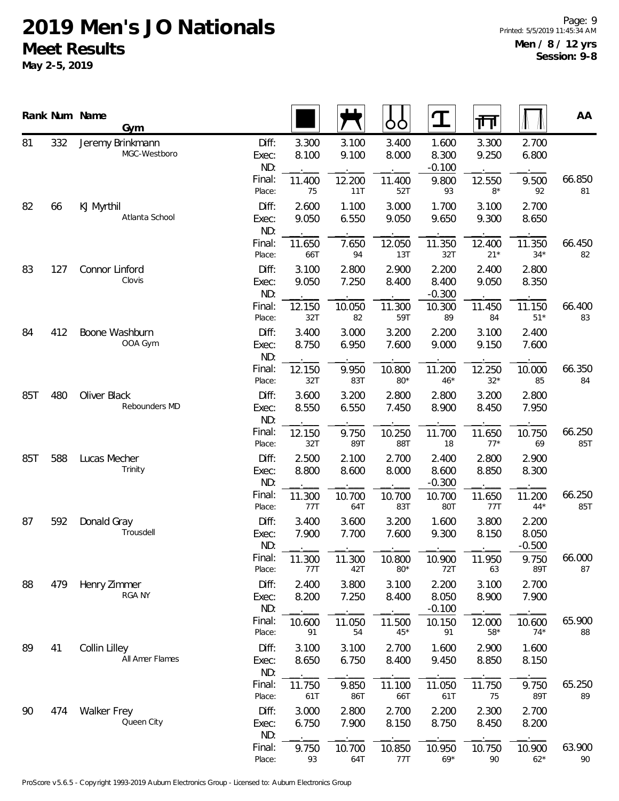|            |                               | Rank Num Name<br>Gym             |                       |                |                | OO              | T                          | गि               |                            | AA            |
|------------|-------------------------------|----------------------------------|-----------------------|----------------|----------------|-----------------|----------------------------|------------------|----------------------------|---------------|
| 81         | 332                           | Jeremy Brinkmann<br>MGC-Westboro | Diff:<br>Exec:<br>ND: | 3.300<br>8.100 | 3.100<br>9.100 | 3.400<br>8.000  | 1.600<br>8.300<br>$-0.100$ | 3.300<br>9.250   | 2.700<br>6.800             |               |
|            |                               |                                  | Final:<br>Place:      | 11.400<br>75   | 12.200<br>11T  | 11.400<br>52T   | 9.800<br>93                | 12.550<br>$8*$   | 9.500<br>92                | 66.850<br>81  |
| 82         | 66                            | KJ Myrthil<br>Atlanta School     | Diff:<br>Exec:<br>ND: | 2.600<br>9.050 | 1.100<br>6.550 | 3.000<br>9.050  | 1.700<br>9.650             | 3.100<br>9.300   | 2.700<br>8.650             |               |
|            |                               |                                  | Final:<br>Place:      | 11.650<br>66T  | 7.650<br>94    | 12.050<br>13T   | 11.350<br>32T              | 12.400<br>$21*$  | 11.350<br>$34*$            | 66.450<br>82  |
| 83         | 127                           | Connor Linford<br>Clovis         | Diff:<br>Exec:<br>ND: | 3.100<br>9.050 | 2.800<br>7.250 | 2.900<br>8.400  | 2.200<br>8.400<br>$-0.300$ | 2.400<br>9.050   | 2.800<br>8.350             |               |
|            |                               |                                  | Final:<br>Place:      | 12.150<br>32T  | 10.050<br>82   | 11.300<br>59T   | 10.300<br>89               | 11.450<br>84     | 11.150<br>$51*$            | 66.400<br>83  |
| 84         | 412                           | Boone Washburn<br>OOA Gym        | Diff:<br>Exec:<br>ND: | 3.400<br>8.750 | 3.000<br>6.950 | 3.200<br>7.600  | 2.200<br>9.000             | 3.100<br>9.150   | 2.400<br>7.600             |               |
|            |                               |                                  | Final:<br>Place:      | 12.150<br>32T  | 9.950<br>83T   | 10.800<br>$80*$ | 11.200<br>$46*$            | 12.250<br>$32*$  | 10.000<br>85               | 66.350<br>84  |
| 85T<br>480 | Oliver Black<br>Rebounders MD | Diff:<br>Exec:<br>ND:            | 3.600<br>8.550        | 3.200<br>6.550 | 2.800<br>7.450 | 2.800<br>8.900  | 3.200<br>8.450             | 2.800<br>7.950   |                            |               |
|            |                               |                                  | Final:<br>Place:      | 12.150<br>32T  | 9.750<br>89T   | 10.250<br>88T   | 11.700<br>18               | 11.650<br>$77*$  | 10.750<br>69               | 66.250<br>85T |
| 85T        | 588                           | Lucas Mecher<br>Trinity          | Diff:<br>Exec:<br>ND: | 2.500<br>8.800 | 2.100<br>8.600 | 2.700<br>8.000  | 2.400<br>8.600<br>$-0.300$ | 2.800<br>8.850   | 2.900<br>8.300             |               |
|            |                               |                                  | Final:<br>Place:      | 11.300<br>77T  | 10.700<br>64T  | 10.700<br>83T   | 10.700<br>80T              | 11.650<br>77T    | 11.200<br>$44*$            | 66.250<br>85T |
| 87         | 592                           | Donald Gray<br>Trousdell         | Diff:<br>Exec:<br>ND: | 3.400<br>7.900 | 3.600<br>7.700 | 3.200<br>7.600  | 1.600<br>9.300             | 3.800<br>8.150   | 2.200<br>8.050<br>$-0.500$ |               |
|            |                               |                                  | Final:<br>Place:      | 11.300<br>77T  | 11.300<br>42T  | 10.800<br>$80*$ | 10.900<br>72T              | 11.950<br>63     | 9.750<br>89T               | 66.000<br>87  |
| 88         | 479                           | Henry Zimmer<br>RGA NY           | Diff:<br>Exec:<br>ND: | 2.400<br>8.200 | 3.800<br>7.250 | 3.100<br>8.400  | 2.200<br>8.050<br>$-0.100$ | 3.100<br>8.900   | 2.700<br>7.900             |               |
|            |                               |                                  | Final:<br>Place:      | 10.600<br>91   | 11.050<br>54   | 11.500<br>$45*$ | 10.150<br>91               | 12.000<br>$58*$  | 10.600<br>$74*$            | 65.900<br>88  |
| 89         | 41                            | Collin Lilley<br>All Amer Flames | Diff:<br>Exec:<br>ND: | 3.100<br>8.650 | 3.100<br>6.750 | 2.700<br>8.400  | 1.600<br>9.450             | 2.900<br>8.850   | 1.600<br>8.150             |               |
|            |                               |                                  | Final:<br>Place:      | 11.750<br>61T  | 9.850<br>86T   | 11.100<br>66T   | 11.050<br>61T              | 11.750<br>75     | 9.750<br>89T               | 65.250<br>89  |
| 90         | 474                           | Walker Frey<br>Queen City        | Diff:<br>Exec:<br>ND: | 3.000<br>6.750 | 2.800<br>7.900 | 2.700<br>8.150  | 2.200<br>8.750             | 2.300<br>8.450   | 2.700<br>8.200             |               |
|            |                               |                                  | Final:<br>Place:      | 9.750<br>93    | 10.700<br>64T  | 10.850<br>77T   | 10.950<br>$69*$            | 10.750<br>$90\,$ | 10.900<br>$62*$            | 63.900<br>90  |